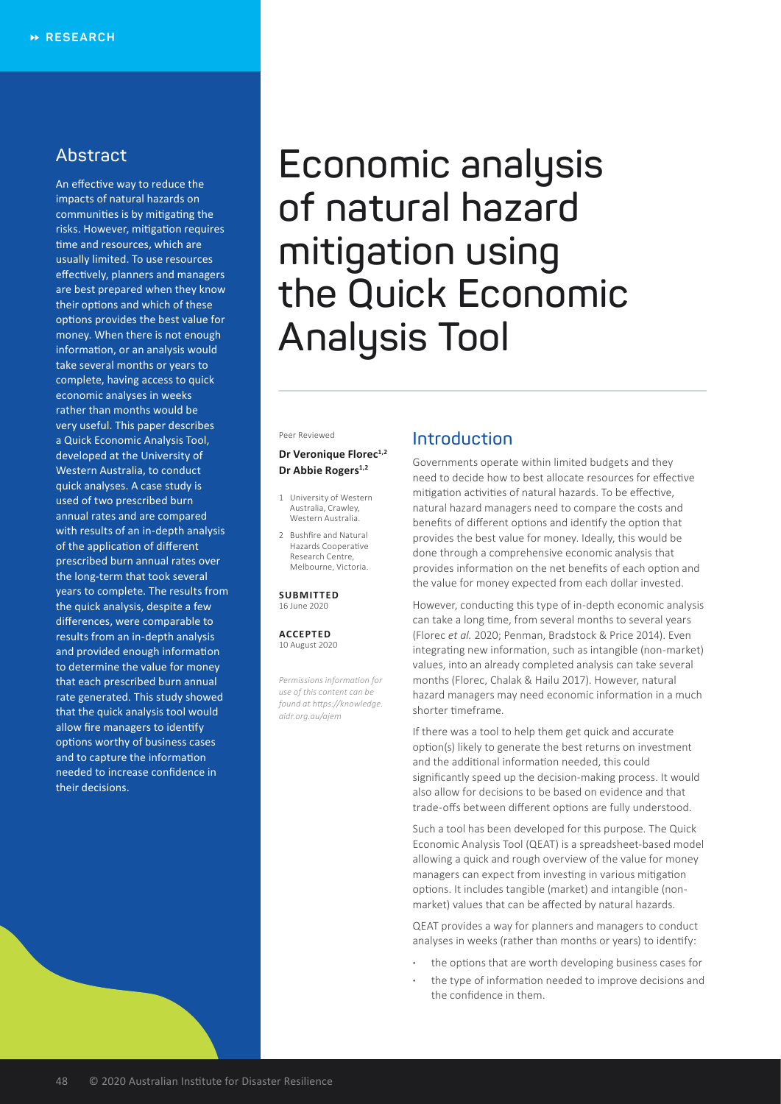# **Abstract**

An effective way to reduce the impacts of natural hazards on communities is by mitigating the risks. However, mitigation requires time and resources, which are usually limited. To use resources effectively, planners and managers are best prepared when they know their options and which of these options provides the best value for money. When there is not enough information, or an analysis would take several months or years to complete, having access to quick economic analyses in weeks rather than months would be very useful. This paper describes a Quick Economic Analysis Tool, developed at the University of Western Australia, to conduct quick analyses. A case study is used of two prescribed burn annual rates and are compared with results of an in-depth analysis of the application of different prescribed burn annual rates over the long-term that took several years to complete. The results from the quick analysis, despite a few differences, were comparable to results from an in-depth analysis and provided enough information to determine the value for money that each prescribed burn annual rate generated. This study showed that the quick analysis tool would allow fire managers to identify options worthy of business cases and to capture the information needed to increase confidence in their decisions.

# **Economic analysis of natural hazard mitigation using the Quick Economic Analysis Tool**

#### Peer Reviewed

#### **Dr Veronique Florec<sup>1,2</sup>** Dr Abbie Rogers<sup>1,2</sup>

- 1 University of Western Australia, Crawley, Western Australia.
- 2 Bushfire and Natural Hazards Cooperative Research Centre, Melbourne, Victoria.

#### **SUBMITTED** 16 June 2020

**ACCEPTED** 10 August 2020

*Permissions information for use of this content can be found at https://knowledge. aidr.org.au/ajem*

## **Introduction**

Governments operate within limited budgets and they need to decide how to best allocate resources for effective mitigation activities of natural hazards. To be effective, natural hazard managers need to compare the costs and benefits of different options and identify the option that provides the best value for money. Ideally, this would be done through a comprehensive economic analysis that provides information on the net benefits of each option and the value for money expected from each dollar invested.

However, conducting this type of in-depth economic analysis can take a long time, from several months to several years (Florec *et al.* 2020; Penman, Bradstock & Price 2014). Even integrating new information, such as intangible (non-market) values, into an already completed analysis can take several months (Florec, Chalak & Hailu 2017). However, natural hazard managers may need economic information in a much shorter timeframe.

If there was a tool to help them get quick and accurate option(s) likely to generate the best returns on investment and the additional information needed, this could significantly speed up the decision-making process. It would also allow for decisions to be based on evidence and that trade-offs between different options are fully understood.

Such a tool has been developed for this purpose. The Quick Economic Analysis Tool (QEAT) is a spreadsheet-based model allowing a quick and rough overview of the value for money managers can expect from investing in various mitigation options. It includes tangible (market) and intangible (nonmarket) values that can be affected by natural hazards.

QEAT provides a way for planners and managers to conduct analyses in weeks (rather than months or years) to identify:

- **·** the options that are worth developing business cases for
- **·** the type of information needed to improve decisions and the confidence in them.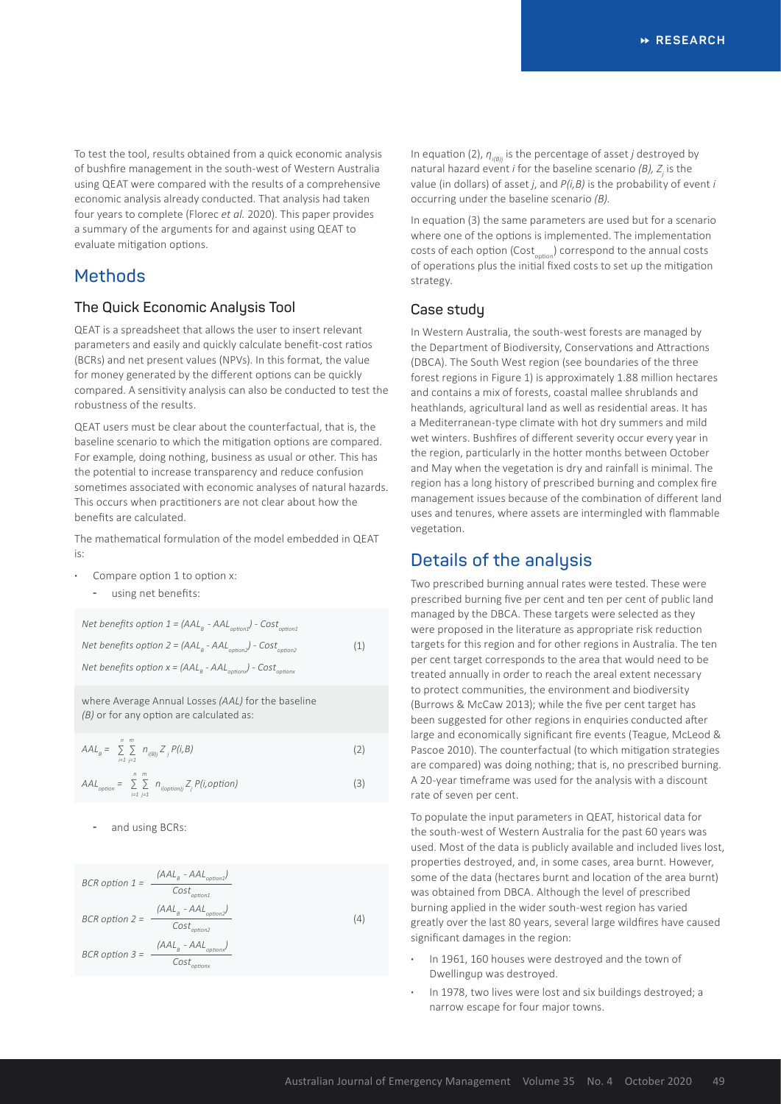To test the tool, results obtained from a quick economic analysis of bushfire management in the south-west of Western Australia using QEAT were compared with the results of a comprehensive economic analysis already conducted. That analysis had taken four years to complete (Florec *et al.* 2020). This paper provides a summary of the arguments for and against using QEAT to evaluate mitigation options.

# **Methods**

#### **The Quick Economic Analysis Tool**

QEAT is a spreadsheet that allows the user to insert relevant parameters and easily and quickly calculate benefit-cost ratios (BCRs) and net present values (NPVs). In this format, the value for money generated by the different options can be quickly compared. A sensitivity analysis can also be conducted to test the robustness of the results.

QEAT users must be clear about the counterfactual, that is, the baseline scenario to which the mitigation options are compared. For example, doing nothing, business as usual or other. This has the potential to increase transparency and reduce confusion sometimes associated with economic analyses of natural hazards. This occurs when practitioners are not clear about how the benefits are calculated.

The mathematical formulation of the model embedded in QEAT is:

- **·** Compare option 1 to option x:
	- using net benefits:

*Net benefits option 1 =*  $(AAL<sub>B</sub> - AAL <sub>$$</sub>  - AAL<sub>optical</sub>) - Cost<sub>optical</sub>$ *Net benefits option 2 = (AAL<sup>B</sup> - AALoption2) - Costoption2 Net benefits option x = (AAL<sup>B</sup> - AALoptionx) - Costoptionx* (1)

where Average Annual Losses *(AAL)* for the baseline *(B)* or for any option are calculated as:

$$
AAL_B = \sum_{i=1}^{n} \sum_{j=1}^{m} n_{i\{Bj\}} Z_j P(i, B)
$$
\n
$$
AAL_{option} = \sum_{i=1}^{n} \sum_{j=1}^{m} n_{i\{option\}} Z_j P(i, option)
$$
\n(3)

and using BCRs:

BCR option 1 =

\n
$$
\frac{(AAL_{B} - AAL_{option1})}{Cost_{option1}}
$$
\nBCR option 2 =

\n
$$
\frac{(AAL_{B} - AAL_{option2})}{Cost_{option2}}
$$
\nBCR option 3 =

\n
$$
\frac{(AAL_{B} - AAL_{option2})}{Cost_{option2}}
$$
\n(4)

\n7

In equation (2),  $η_{i(Bl)}$  is the percentage of asset *j* destroyed by natural hazard event *i* for the baseline scenario (*B*), *Z*<sub>*j*</sub> is the value (in dollars) of asset *j*, and *P(i,B)* is the probability of event *i* occurring under the baseline scenario *(B)*.

In equation (3) the same parameters are used but for a scenario where one of the options is implemented. The implementation costs of each option (Cost<sub>ontion</sub>) correspond to the annual costs of operations plus the initial fixed costs to set up the mitigation strategy.

## **Case study**

In Western Australia, the south-west forests are managed by the Department of Biodiversity, Conservations and Attractions (DBCA). The South West region (see boundaries of the three forest regions in Figure 1) is approximately 1.88 million hectares and contains a mix of forests, coastal mallee shrublands and heathlands, agricultural land as well as residential areas. It has a Mediterranean-type climate with hot dry summers and mild wet winters. Bushfires of different severity occur every year in the region, particularly in the hotter months between October and May when the vegetation is dry and rainfall is minimal. The region has a long history of prescribed burning and complex fire management issues because of the combination of different land uses and tenures, where assets are intermingled with flammable vegetation.

## **Details of the analysis**

Two prescribed burning annual rates were tested. These were prescribed burning five per cent and ten per cent of public land managed by the DBCA. These targets were selected as they were proposed in the literature as appropriate risk reduction targets for this region and for other regions in Australia. The ten per cent target corresponds to the area that would need to be treated annually in order to reach the areal extent necessary to protect communities, the environment and biodiversity (Burrows & McCaw 2013); while the five per cent target has been suggested for other regions in enquiries conducted after large and economically significant fire events (Teague, McLeod & Pascoe 2010). The counterfactual (to which mitigation strategies are compared) was doing nothing; that is, no prescribed burning. A 20-year timeframe was used for the analysis with a discount rate of seven per cent.

To populate the input parameters in QEAT, historical data for the south-west of Western Australia for the past 60 years was used. Most of the data is publicly available and included lives lost, properties destroyed, and, in some cases, area burnt. However, some of the data (hectares burnt and location of the area burnt) was obtained from DBCA. Although the level of prescribed burning applied in the wider south-west region has varied greatly over the last 80 years, several large wildfires have caused significant damages in the region:

- **·** In 1961, 160 houses were destroyed and the town of Dwellingup was destroyed.
- **·** In 1978, two lives were lost and six buildings destroyed; a narrow escape for four major towns.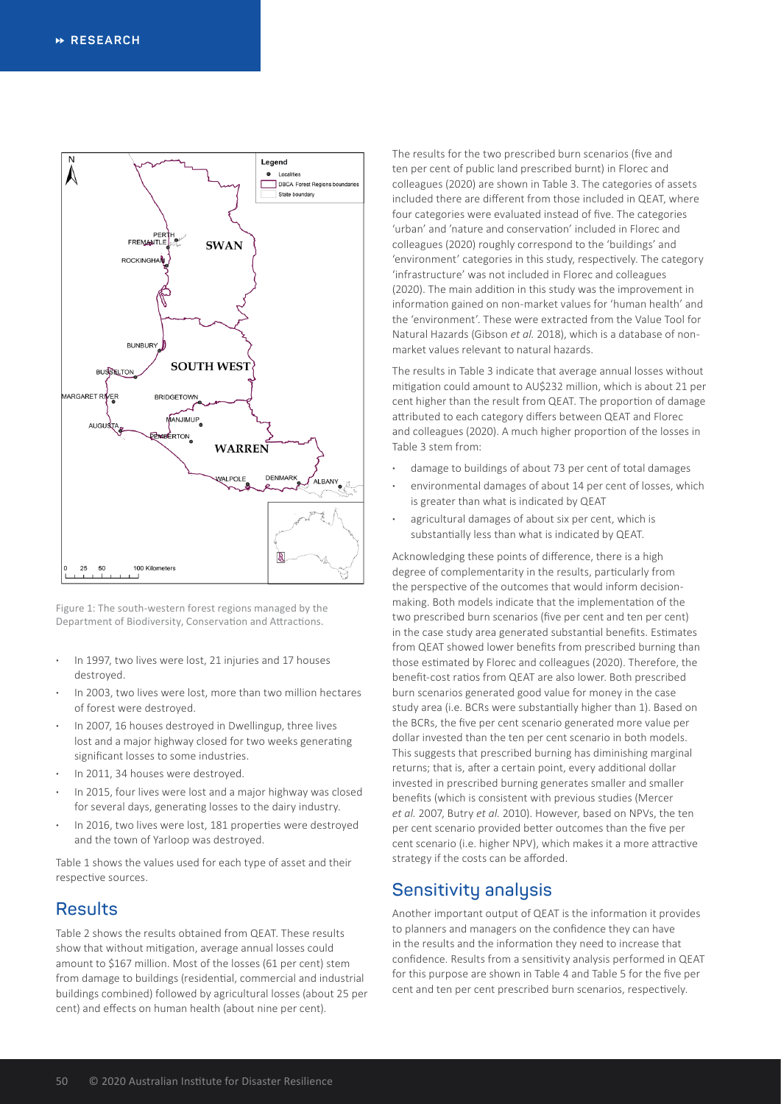

Figure 1: The south-western forest regions managed by the Department of Biodiversity, Conservation and Attractions.

- **·** In 1997, two lives were lost, 21 injuries and 17 houses destroyed.
- **·** In 2003, two lives were lost, more than two million hectares of forest were destroyed.
- **·** In 2007, 16 houses destroyed in Dwellingup, three lives lost and a major highway closed for two weeks generating significant losses to some industries.
- **·** In 2011, 34 houses were destroyed.
- **·** In 2015, four lives were lost and a major highway was closed for several days, generating losses to the dairy industry.
- **·** In 2016, two lives were lost, 181 properties were destroyed and the town of Yarloop was destroyed.

Table 1 shows the values used for each type of asset and their respective sources.

# **Results**

Table 2 shows the results obtained from QEAT. These results show that without mitigation, average annual losses could amount to \$167 million. Most of the losses (61 per cent) stem from damage to buildings (residential, commercial and industrial buildings combined) followed by agricultural losses (about 25 per cent) and effects on human health (about nine per cent).

The results for the two prescribed burn scenarios (five and ten per cent of public land prescribed burnt) in Florec and colleagues (2020) are shown in Table 3. The categories of assets included there are different from those included in QEAT, where four categories were evaluated instead of five. The categories 'urban' and 'nature and conservation' included in Florec and colleagues (2020) roughly correspond to the 'buildings' and 'environment' categories in this study, respectively. The category 'infrastructure' was not included in Florec and colleagues (2020). The main addition in this study was the improvement in information gained on non-market values for 'human health' and the 'environment'. These were extracted from the Value Tool for Natural Hazards (Gibson *et al.* 2018), which is a database of nonmarket values relevant to natural hazards.

The results in Table 3 indicate that average annual losses without mitigation could amount to AU\$232 million, which is about 21 per cent higher than the result from QEAT. The proportion of damage attributed to each category differs between QEAT and Florec and colleagues (2020). A much higher proportion of the losses in Table 3 stem from:

- **·** damage to buildings of about 73 per cent of total damages
- **·** environmental damages of about 14 per cent of losses, which is greater than what is indicated by QEAT
- **·** agricultural damages of about six per cent, which is substantially less than what is indicated by QEAT.

Acknowledging these points of difference, there is a high degree of complementarity in the results, particularly from the perspective of the outcomes that would inform decisionmaking. Both models indicate that the implementation of the two prescribed burn scenarios (five per cent and ten per cent) in the case study area generated substantial benefits. Estimates from QEAT showed lower benefits from prescribed burning than those estimated by Florec and colleagues (2020). Therefore, the benefit-cost ratios from QEAT are also lower. Both prescribed burn scenarios generated good value for money in the case study area (i.e. BCRs were substantially higher than 1). Based on the BCRs, the five per cent scenario generated more value per dollar invested than the ten per cent scenario in both models. This suggests that prescribed burning has diminishing marginal returns; that is, after a certain point, every additional dollar invested in prescribed burning generates smaller and smaller benefits (which is consistent with previous studies (Mercer *et al.* 2007, Butry *et al.* 2010). However, based on NPVs, the ten per cent scenario provided better outcomes than the five per cent scenario (i.e. higher NPV), which makes it a more attractive strategy if the costs can be afforded.

# **Sensitivity analysis**

Another important output of QEAT is the information it provides to planners and managers on the confidence they can have in the results and the information they need to increase that confidence. Results from a sensitivity analysis performed in QEAT for this purpose are shown in Table 4 and Table 5 for the five per cent and ten per cent prescribed burn scenarios, respectively.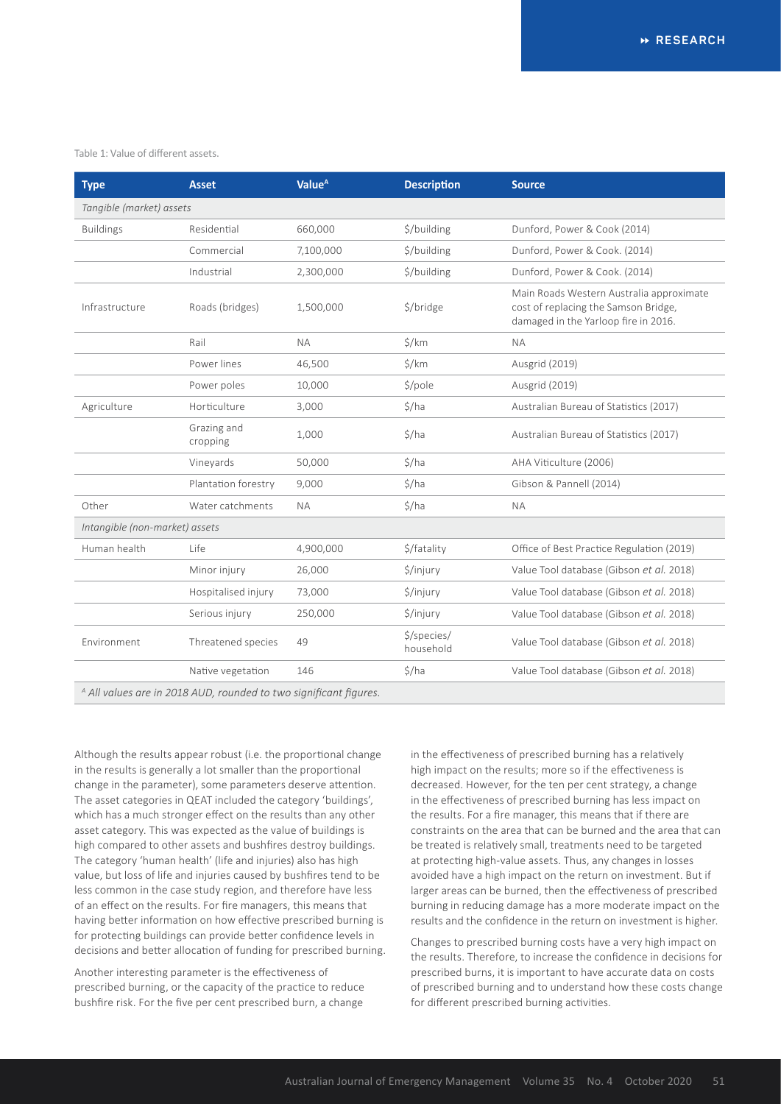#### Table 1: Value of different assets.

| <b>Type</b>                                                                  | <b>Asset</b>            | Value <sup>A</sup> | <b>Description</b>         | <b>Source</b>                                                                                                            |  |  |
|------------------------------------------------------------------------------|-------------------------|--------------------|----------------------------|--------------------------------------------------------------------------------------------------------------------------|--|--|
| Tangible (market) assets                                                     |                         |                    |                            |                                                                                                                          |  |  |
| <b>Buildings</b>                                                             | Residential             | 660,000            | \$/building                | Dunford, Power & Cook (2014)                                                                                             |  |  |
|                                                                              | Commercial              | 7,100,000          | \$/building                | Dunford, Power & Cook. (2014)                                                                                            |  |  |
|                                                                              | Industrial              | 2,300,000          | \$/building                | Dunford, Power & Cook. (2014)                                                                                            |  |  |
| Infrastructure                                                               | Roads (bridges)         | 1,500,000          | \$/bridge                  | Main Roads Western Australia approximate<br>cost of replacing the Samson Bridge,<br>damaged in the Yarloop fire in 2016. |  |  |
|                                                                              | Rail                    | <b>NA</b>          | $\frac{1}{2}$ /km          | <b>NA</b>                                                                                                                |  |  |
|                                                                              | Power lines             | 46,500             | $\frac{1}{2}$ /km          | Ausgrid (2019)                                                                                                           |  |  |
|                                                                              | Power poles             | 10,000             | S/pole                     | Ausgrid (2019)                                                                                                           |  |  |
| Agriculture                                                                  | Horticulture            | 3,000              | \$/ha                      | Australian Bureau of Statistics (2017)                                                                                   |  |  |
|                                                                              | Grazing and<br>cropping | 1,000              | \$/ha                      | Australian Bureau of Statistics (2017)                                                                                   |  |  |
|                                                                              | Vineyards               | 50,000             | \$/ha                      | AHA Viticulture (2006)                                                                                                   |  |  |
|                                                                              | Plantation forestry     | 9,000              | $\frac{1}{2}$ /ha          | Gibson & Pannell (2014)                                                                                                  |  |  |
| Other                                                                        | Water catchments        | <b>NA</b>          | \$/ha                      | <b>NA</b>                                                                                                                |  |  |
| Intangible (non-market) assets                                               |                         |                    |                            |                                                                                                                          |  |  |
| Human health                                                                 | Life                    | 4,900,000          | \$/fatality                | Office of Best Practice Regulation (2019)                                                                                |  |  |
|                                                                              | Minor injury            | 26,000             | \$/injury                  | Value Tool database (Gibson et al. 2018)                                                                                 |  |  |
|                                                                              | Hospitalised injury     | 73,000             | \$/injury                  | Value Tool database (Gibson et al. 2018)                                                                                 |  |  |
|                                                                              | Serious injury          | 250,000            | \$/injury                  | Value Tool database (Gibson et al. 2018)                                                                                 |  |  |
| Environment                                                                  | Threatened species      | 49                 | $$$ /species/<br>household | Value Tool database (Gibson et al. 2018)                                                                                 |  |  |
|                                                                              | Native vegetation       | 146                | $\frac{1}{2}$ /ha          | Value Tool database (Gibson et al. 2018)                                                                                 |  |  |
| <sup>A</sup> All values are in 2018 AUD, rounded to two significant figures. |                         |                    |                            |                                                                                                                          |  |  |

Although the results appear robust (i.e. the proportional change in the results is generally a lot smaller than the proportional change in the parameter), some parameters deserve attention. The asset categories in QEAT included the category 'buildings', which has a much stronger effect on the results than any other asset category. This was expected as the value of buildings is high compared to other assets and bushfires destroy buildings. The category 'human health' (life and injuries) also has high value, but loss of life and injuries caused by bushfires tend to be less common in the case study region, and therefore have less of an effect on the results. For fire managers, this means that having better information on how effective prescribed burning is for protecting buildings can provide better confidence levels in decisions and better allocation of funding for prescribed burning.

Another interesting parameter is the effectiveness of prescribed burning, or the capacity of the practice to reduce bushfire risk. For the five per cent prescribed burn, a change

in the effectiveness of prescribed burning has a relatively high impact on the results; more so if the effectiveness is decreased. However, for the ten per cent strategy, a change in the effectiveness of prescribed burning has less impact on the results. For a fire manager, this means that if there are constraints on the area that can be burned and the area that can be treated is relatively small, treatments need to be targeted at protecting high-value assets. Thus, any changes in losses avoided have a high impact on the return on investment. But if larger areas can be burned, then the effectiveness of prescribed burning in reducing damage has a more moderate impact on the results and the confidence in the return on investment is higher.

Changes to prescribed burning costs have a very high impact on the results. Therefore, to increase the confidence in decisions for prescribed burns, it is important to have accurate data on costs of prescribed burning and to understand how these costs change for different prescribed burning activities.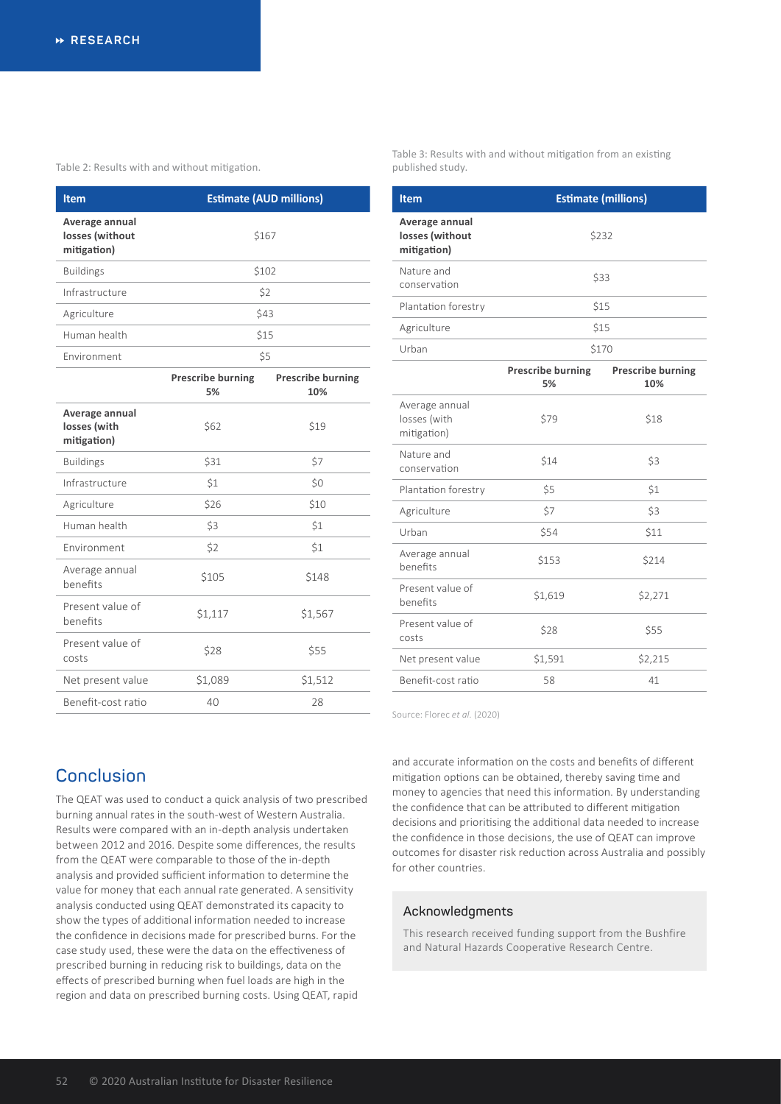Table 2: Results with and without mitigation.

| <b>Item</b>                                      | <b>Estimate (AUD millions)</b> |
|--------------------------------------------------|--------------------------------|
| Average annual<br>losses (without<br>mitigation) | \$167                          |
| <b>Buildings</b>                                 | \$102                          |
| Infrastructure                                   | \$2                            |
| Agriculture                                      | \$43                           |
| Human health                                     | \$15                           |
| Environment                                      | \$5                            |

|                                               | <b>Prescribe burning</b><br>5% | <b>Prescribe burning</b><br>10% |
|-----------------------------------------------|--------------------------------|---------------------------------|
| Average annual<br>losses (with<br>mitigation) | \$62                           | \$19                            |
| <b>Buildings</b>                              | \$31                           | \$7                             |
| Infrastructure                                | \$1                            | \$0                             |
| Agriculture                                   | \$26                           | \$10                            |
| Human health                                  | \$3                            | \$1                             |
| <b>Fnvironment</b>                            | \$2                            | \$1                             |
| Average annual<br>benefits                    | \$105                          | \$148                           |
| Present value of<br>benefits                  | \$1,117                        | \$1,567                         |
| Present value of<br>costs                     | \$28                           | \$55                            |
| Net present value                             | \$1,089                        | \$1,512                         |
| Benefit-cost ratio                            | 40                             | 28                              |

Table 3: Results with and without mitigation from an existing published study.

| <b>Item</b>                                      | <b>Estimate (millions)</b>     |                                 |  |  |  |
|--------------------------------------------------|--------------------------------|---------------------------------|--|--|--|
| Average annual<br>losses (without<br>mitigation) | \$232                          |                                 |  |  |  |
| Nature and<br>conservation                       | \$33                           |                                 |  |  |  |
| Plantation forestry                              | \$15                           |                                 |  |  |  |
| Agriculture                                      | \$15                           |                                 |  |  |  |
| Urban                                            | \$170                          |                                 |  |  |  |
|                                                  | <b>Prescribe burning</b><br>5% | <b>Prescribe burning</b><br>10% |  |  |  |
| Average annual<br>losses (with<br>mitigation)    | \$79                           | \$18                            |  |  |  |
| Nature and<br>conservation                       | \$14                           | \$3                             |  |  |  |
| Plantation forestry                              | \$5                            | \$1                             |  |  |  |
| Agriculture                                      | \$7                            | \$3                             |  |  |  |
| Urban                                            | \$54                           | \$11                            |  |  |  |
| Average annual<br>henefits                       | \$153                          | \$214                           |  |  |  |
| Present value of<br>benefits                     | \$1,619                        | \$2,271                         |  |  |  |
| Present value of<br>costs                        | \$28                           | \$55                            |  |  |  |
| Net present value                                | \$1,591                        | \$2,215                         |  |  |  |
| Benefit-cost ratio                               | 58                             | 41                              |  |  |  |

Source: Florec *et al.* (2020)

and accurate information on the costs and benefits of different mitigation options can be obtained, thereby saving time and money to agencies that need this information. By understanding the confidence that can be attributed to different mitigation decisions and prioritising the additional data needed to increase the confidence in those decisions, the use of QEAT can improve outcomes for disaster risk reduction across Australia and possibly for other countries.

#### **Acknowledgments**

This research received funding support from the Bushfire and Natural Hazards Cooperative Research Centre.

# **Conclusion**

The QEAT was used to conduct a quick analysis of two prescribed burning annual rates in the south-west of Western Australia. Results were compared with an in-depth analysis undertaken between 2012 and 2016. Despite some differences, the results from the QEAT were comparable to those of the in-depth analysis and provided sufficient information to determine the value for money that each annual rate generated. A sensitivity analysis conducted using QEAT demonstrated its capacity to show the types of additional information needed to increase the confidence in decisions made for prescribed burns. For the case study used, these were the data on the effectiveness of prescribed burning in reducing risk to buildings, data on the effects of prescribed burning when fuel loads are high in the region and data on prescribed burning costs. Using QEAT, rapid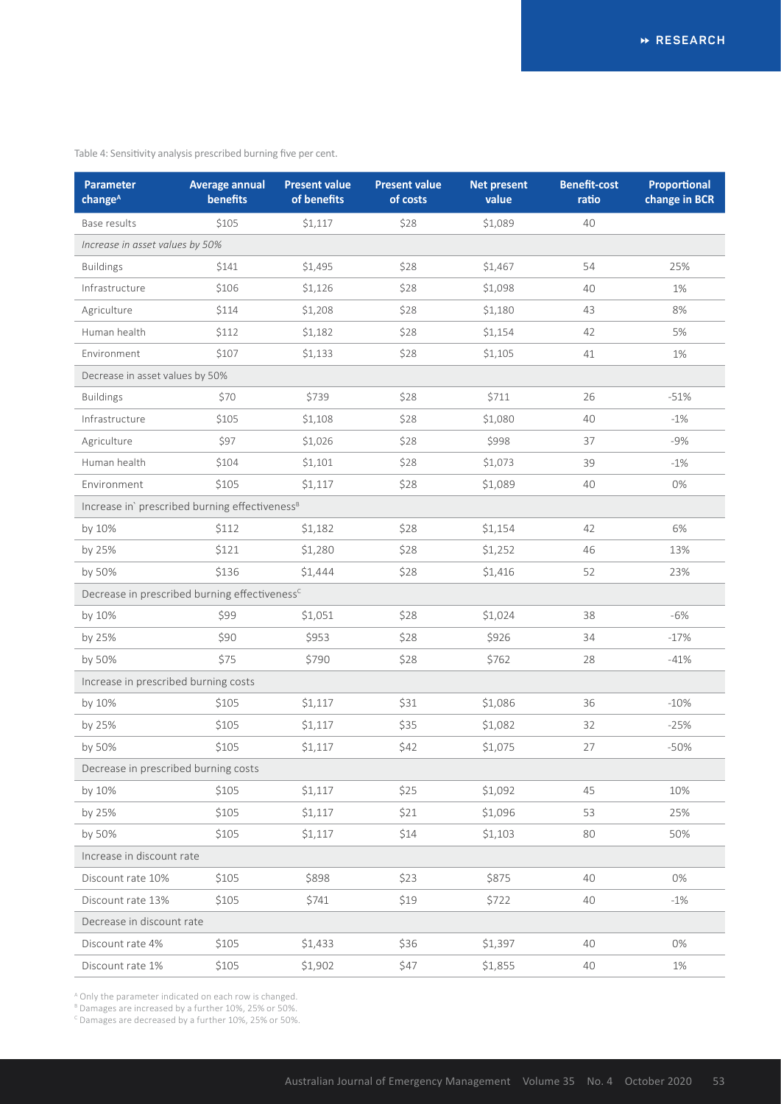| Table 4: Sensitivity analysis prescribed burning five per cent. |  |  |  |
|-----------------------------------------------------------------|--|--|--|
|-----------------------------------------------------------------|--|--|--|

| <b>Parameter</b><br>change <sup>A</sup>                    | <b>Average annual</b><br>benefits | <b>Present value</b><br>of benefits | <b>Present value</b><br>of costs | <b>Net present</b><br>value | <b>Benefit-cost</b><br>ratio | Proportional<br>change in BCR |  |
|------------------------------------------------------------|-----------------------------------|-------------------------------------|----------------------------------|-----------------------------|------------------------------|-------------------------------|--|
| Base results                                               | \$105                             | \$1,117                             | \$28                             | \$1,089                     | 40                           |                               |  |
| Increase in asset values by 50%                            |                                   |                                     |                                  |                             |                              |                               |  |
| <b>Buildings</b>                                           | \$141                             | \$1,495                             | \$28                             | \$1,467                     | 54                           | 25%                           |  |
| Infrastructure                                             | \$106                             | \$1,126                             | \$28                             | \$1,098                     | 40                           | 1%                            |  |
| Agriculture                                                | \$114                             | \$1,208                             | \$28                             | \$1,180                     | 43                           | 8%                            |  |
| Human health                                               | \$112                             | \$1,182                             | \$28                             | \$1,154                     | 42                           | 5%                            |  |
| Environment                                                | \$107                             | \$1,133                             | \$28                             | \$1,105                     | 41                           | 1%                            |  |
| Decrease in asset values by 50%                            |                                   |                                     |                                  |                             |                              |                               |  |
| <b>Buildings</b>                                           | \$70                              | \$739                               | \$28                             | \$711                       | 26                           | $-51%$                        |  |
| Infrastructure                                             | \$105                             | \$1,108                             | \$28                             | \$1,080                     | 40                           | $-1%$                         |  |
| Agriculture                                                | \$97                              | \$1,026                             | \$28                             | \$998                       | 37                           | $-9%$                         |  |
| Human health                                               | \$104                             | \$1,101                             | \$28                             | \$1,073                     | 39                           | $-1%$                         |  |
| Environment                                                | \$105                             | \$1,117                             | \$28                             | \$1,089                     | 40                           | $0\%$                         |  |
| Increase in' prescribed burning effectiveness <sup>B</sup> |                                   |                                     |                                  |                             |                              |                               |  |
| by 10%                                                     | \$112                             | \$1,182                             | \$28                             | \$1,154                     | 42                           | 6%                            |  |
| by 25%                                                     | \$121                             | \$1,280                             | \$28                             | \$1,252                     | 46                           | 13%                           |  |
| by 50%                                                     | \$136                             | \$1,444                             | \$28                             | \$1,416                     | 52                           | 23%                           |  |
| Decrease in prescribed burning effectiveness <sup>c</sup>  |                                   |                                     |                                  |                             |                              |                               |  |
| by 10%                                                     | \$99                              | \$1,051                             | \$28                             | \$1,024                     | 38                           | $-6%$                         |  |
| by 25%                                                     | \$90                              | \$953                               | \$28                             | \$926                       | 34                           | $-17%$                        |  |
| by 50%                                                     | \$75                              | \$790                               | \$28                             | \$762                       | 28                           | $-41%$                        |  |
| Increase in prescribed burning costs                       |                                   |                                     |                                  |                             |                              |                               |  |
| by 10%                                                     | \$105                             | \$1,117                             | \$31                             | \$1,086                     | 36                           | $-10%$                        |  |
| by 25%                                                     | \$105                             | \$1,117                             | \$35                             | \$1,082                     | 32                           | $-25%$                        |  |
| by 50%                                                     | \$105                             | \$1,117                             | \$42                             | \$1,075                     | 27                           | $-50%$                        |  |
| Decrease in prescribed burning costs                       |                                   |                                     |                                  |                             |                              |                               |  |
| by 10%                                                     | \$105                             | \$1,117                             | \$25                             | \$1,092                     | 45                           | 10%                           |  |
| by 25%                                                     | \$105                             | \$1,117                             | \$21                             | \$1,096                     | 53                           | 25%                           |  |
| by 50%                                                     | \$105                             | \$1,117                             | \$14                             | \$1,103                     | 80                           | 50%                           |  |
| Increase in discount rate                                  |                                   |                                     |                                  |                             |                              |                               |  |
| Discount rate 10%                                          | \$105                             | \$898                               | \$23                             | \$875                       | 40                           | 0%                            |  |
| Discount rate 13%                                          | \$105                             | \$741                               | \$19                             | \$722                       | 40                           | $-1%$                         |  |
| Decrease in discount rate                                  |                                   |                                     |                                  |                             |                              |                               |  |
| Discount rate 4%                                           | \$105                             | \$1,433                             | \$36                             | \$1,397                     | 40                           | 0%                            |  |
| Discount rate 1%                                           | \$105                             | \$1,902                             | \$47                             | \$1,855                     | 40                           | 1%                            |  |

A Only the parameter indicated on each row is changed.

<sup>8</sup> Damages are increased by a further 10%, 25% or 50%.<br><sup>c</sup> Damages are decreased by a further 10%, 25% or 50%.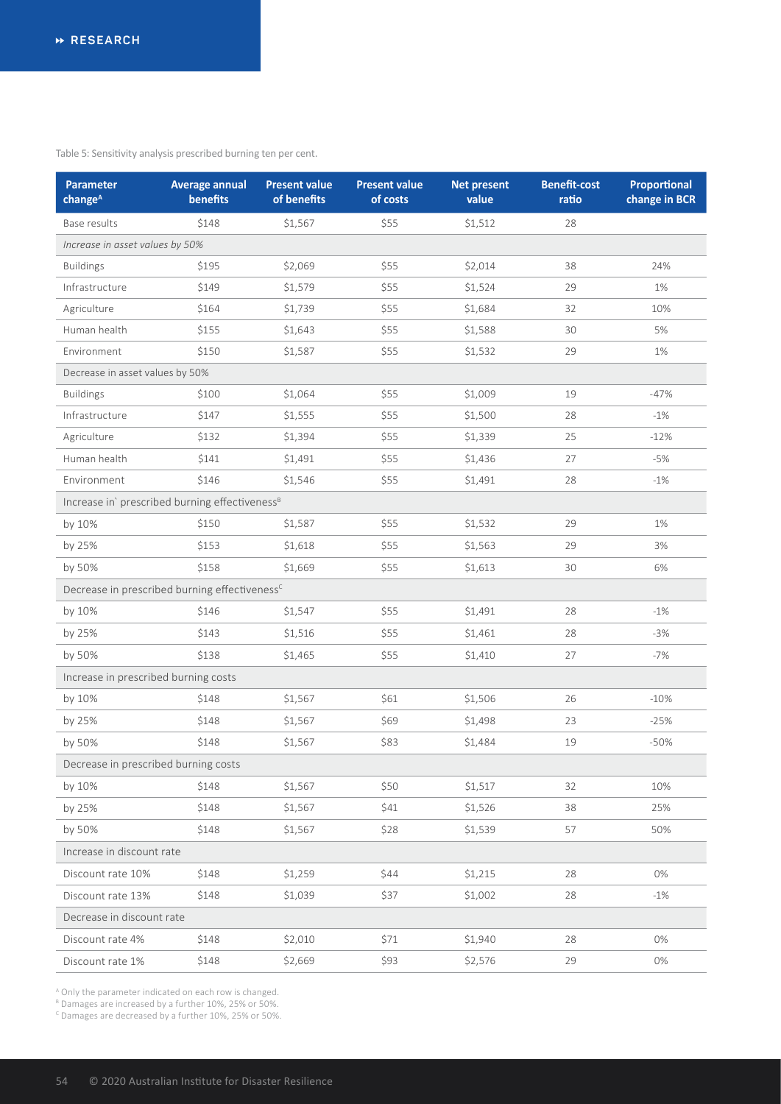Table 5: Sensitivity analysis prescribed burning ten per cent.

| <b>Parameter</b><br>change <sup>A</sup>                    | <b>Average annual</b><br>benefits | <b>Present value</b><br>of benefits | <b>Present value</b><br>of costs | <b>Net present</b><br>value | <b>Benefit-cost</b><br>ratio | Proportional<br>change in BCR |  |
|------------------------------------------------------------|-----------------------------------|-------------------------------------|----------------------------------|-----------------------------|------------------------------|-------------------------------|--|
| Base results                                               | \$148                             | \$1,567                             | \$55                             | \$1,512                     | 28                           |                               |  |
| Increase in asset values by 50%                            |                                   |                                     |                                  |                             |                              |                               |  |
| <b>Buildings</b>                                           | \$195                             | \$2,069                             | \$55                             | \$2,014                     | 38                           | 24%                           |  |
| Infrastructure                                             | \$149                             | \$1,579                             | \$55                             | \$1,524                     | 29                           | 1%                            |  |
| Agriculture                                                | \$164                             | \$1,739                             | \$55                             | \$1,684                     | 32                           | 10%                           |  |
| Human health                                               | \$155                             | \$1,643                             | \$55                             | \$1,588                     | 30                           | 5%                            |  |
| Environment                                                | \$150                             | \$1,587                             | \$55                             | \$1,532                     | 29                           | 1%                            |  |
| Decrease in asset values by 50%                            |                                   |                                     |                                  |                             |                              |                               |  |
| <b>Buildings</b>                                           | \$100                             | \$1,064                             | \$55                             | \$1,009                     | 19                           | $-47%$                        |  |
| Infrastructure                                             | \$147                             | \$1,555                             | \$55                             | \$1,500                     | 28                           | $-1\%$                        |  |
| Agriculture                                                | \$132                             | \$1,394                             | \$55                             | \$1,339                     | 25                           | $-12%$                        |  |
| Human health                                               | \$141                             | \$1,491                             | \$55                             | \$1,436                     | 27                           | $-5%$                         |  |
| Environment                                                | \$146                             | \$1,546                             | \$55                             | \$1,491                     | 28                           | $-1%$                         |  |
| Increase in' prescribed burning effectiveness <sup>B</sup> |                                   |                                     |                                  |                             |                              |                               |  |
| by 10%                                                     | \$150                             | \$1,587                             | \$55                             | \$1,532                     | 29                           | 1%                            |  |
| by 25%                                                     | \$153                             | \$1,618                             | \$55                             | \$1,563                     | 29                           | 3%                            |  |
| by 50%                                                     | \$158                             | \$1,669                             | \$55                             | \$1,613                     | 30                           | 6%                            |  |
| Decrease in prescribed burning effectiveness <sup>c</sup>  |                                   |                                     |                                  |                             |                              |                               |  |
| by 10%                                                     | \$146                             | \$1,547                             | \$55                             | \$1,491                     | 28                           | $-1%$                         |  |
| by 25%                                                     | \$143                             | \$1,516                             | \$55                             | \$1,461                     | 28                           | $-3%$                         |  |
| by 50%                                                     | \$138                             | \$1,465                             | \$55                             | \$1,410                     | 27                           | $-7%$                         |  |
| Increase in prescribed burning costs                       |                                   |                                     |                                  |                             |                              |                               |  |
| by 10%                                                     | \$148                             | \$1,567                             | \$61                             | \$1,506                     | 26                           | $-10%$                        |  |
| by 25%                                                     | \$148                             | \$1,567                             | \$69                             | \$1,498                     | 23                           | $-25%$                        |  |
| by 50%                                                     | \$148                             | \$1,567                             | \$83                             | \$1,484                     | 19                           | $-50%$                        |  |
| Decrease in prescribed burning costs                       |                                   |                                     |                                  |                             |                              |                               |  |
| by 10%                                                     | \$148                             | \$1,567                             | \$50                             | \$1,517                     | 32                           | 10%                           |  |
| by 25%                                                     | \$148                             | \$1,567                             | \$41                             | \$1,526                     | 38                           | 25%                           |  |
| by 50%                                                     | \$148                             | \$1,567                             | \$28                             | \$1,539                     | 57                           | 50%                           |  |
| Increase in discount rate                                  |                                   |                                     |                                  |                             |                              |                               |  |
| Discount rate 10%                                          | \$148                             | \$1,259                             | \$44                             | \$1,215                     | 28                           | 0%                            |  |
| Discount rate 13%                                          | \$148                             | \$1,039                             | \$37                             | \$1,002                     | 28                           | $-1%$                         |  |
| Decrease in discount rate                                  |                                   |                                     |                                  |                             |                              |                               |  |
| Discount rate 4%                                           | \$148                             | \$2,010                             | \$71                             | \$1,940                     | 28                           | 0%                            |  |
| Discount rate 1%                                           | \$148                             | \$2,669                             | \$93                             | \$2,576                     | 29                           | $0\%$                         |  |

A Only the parameter indicated on each row is changed. B Damages are increased by a further 10%, 25% or 50%.

<sup>c</sup> Damages are decreased by a further 10%, 25% or 50%.